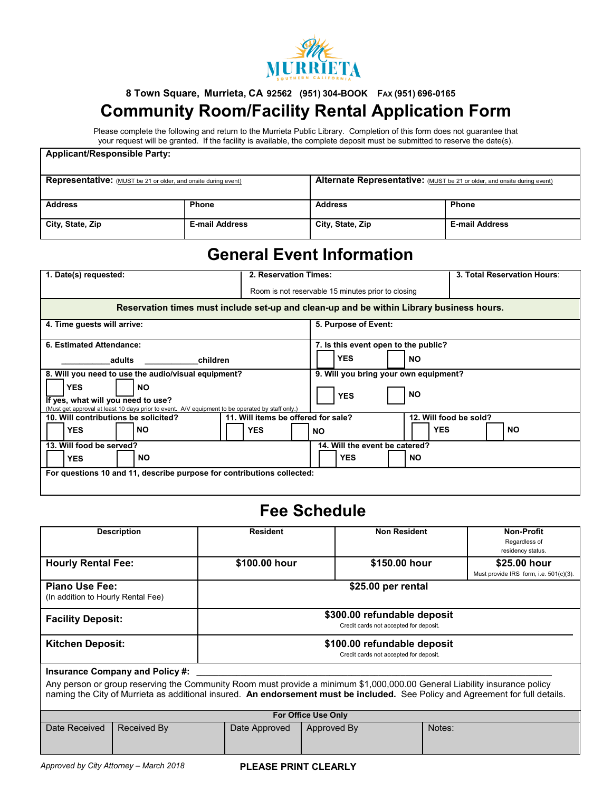

## **8 Town Square, Murrieta, CA 92562 (951) 304-BOOK FAX (951) 696-0165 Community Room/Facility Rental Application Form**

Please complete the following and return to the Murrieta Public Library. Completion of this form does not guarantee that your request will be granted. If the facility is available, the complete deposit must be submitted to reserve the date(s).

#### **Applicant/Responsible Party:**

| <b>Representative:</b> (MUST be 21 or older, and onsite during event) |                       | Alternate Representative: (MUST be 21 or older, and onsite during event) |                       |
|-----------------------------------------------------------------------|-----------------------|--------------------------------------------------------------------------|-----------------------|
| <b>Address</b>                                                        | <b>Phone</b>          | <b>Address</b>                                                           | <b>Phone</b>          |
| City, State, Zip                                                      | <b>E-mail Address</b> | City, State, Zip                                                         | <b>E-mail Address</b> |

# **General Event Information**

| 1. Date(s) requested:                                                                                                                                             | 2. Reservation Times:               |                                                    |            | 3. Total Reservation Hours: |
|-------------------------------------------------------------------------------------------------------------------------------------------------------------------|-------------------------------------|----------------------------------------------------|------------|-----------------------------|
|                                                                                                                                                                   |                                     | Room is not reservable 15 minutes prior to closing |            |                             |
| Reservation times must include set-up and clean-up and be within Library business hours.                                                                          |                                     |                                                    |            |                             |
| 4. Time guests will arrive:                                                                                                                                       |                                     | 5. Purpose of Event:                               |            |                             |
| 6. Estimated Attendance:                                                                                                                                          |                                     | 7. Is this event open to the public?               |            |                             |
| adults<br>children                                                                                                                                                |                                     | <b>YES</b>                                         | <b>NO</b>  |                             |
| 8. Will you need to use the audio/visual equipment?                                                                                                               |                                     | 9. Will you bring your own equipment?              |            |                             |
| <b>YES</b><br><b>NO</b><br>If yes, what will you need to use?<br>(Must get approval at least 10 days prior to event. A/V equipment to be operated by staff only.) |                                     | <b>YES</b>                                         | <b>NO</b>  |                             |
| 10. Will contributions be solicited?                                                                                                                              | 11. Will items be offered for sale? |                                                    |            | 12. Will food be sold?      |
| <b>YES</b><br><b>NO</b>                                                                                                                                           | <b>YES</b>                          | <b>NO</b>                                          | <b>YES</b> | <b>NO</b>                   |
| 13. Will food be served?                                                                                                                                          |                                     | 14. Will the event be catered?                     |            |                             |
| <b>YES</b><br>NO.                                                                                                                                                 |                                     | <b>YES</b>                                         | <b>NO</b>  |                             |
| For questions 10 and 11, describe purpose for contributions collected:                                                                                            |                                     |                                                    |            |                             |

## **Fee Schedule**

|                                                                                                                                                                                                                                                             |                                        | <b>Resident</b>                                                       | <b>Non Resident</b> | <b>Non-Profit</b>                      |
|-------------------------------------------------------------------------------------------------------------------------------------------------------------------------------------------------------------------------------------------------------------|----------------------------------------|-----------------------------------------------------------------------|---------------------|----------------------------------------|
|                                                                                                                                                                                                                                                             | <b>Description</b>                     |                                                                       |                     |                                        |
|                                                                                                                                                                                                                                                             |                                        |                                                                       |                     | Regardless of                          |
|                                                                                                                                                                                                                                                             |                                        |                                                                       |                     | residency status.                      |
| <b>Hourly Rental Fee:</b>                                                                                                                                                                                                                                   |                                        | \$100.00 hour                                                         | \$150.00 hour       | \$25.00 hour                           |
|                                                                                                                                                                                                                                                             |                                        |                                                                       |                     | Must provide IRS form, i.e. 501(c)(3). |
| <b>Piano Use Fee:</b><br>(In addition to Hourly Rental Fee)                                                                                                                                                                                                 |                                        | \$25.00 per rental                                                    |                     |                                        |
| <b>Facility Deposit:</b>                                                                                                                                                                                                                                    |                                        | \$300.00 refundable deposit<br>Credit cards not accepted for deposit. |                     |                                        |
| <b>Kitchen Deposit:</b><br>\$100.00 refundable deposit                                                                                                                                                                                                      |                                        |                                                                       |                     |                                        |
| Credit cards not accepted for deposit.                                                                                                                                                                                                                      |                                        |                                                                       |                     |                                        |
|                                                                                                                                                                                                                                                             | <b>Insurance Company and Policy #:</b> |                                                                       |                     |                                        |
| Any person or group reserving the Community Room must provide a minimum \$1,000,000.00 General Liability insurance policy<br>naming the City of Murrieta as additional insured. An endorsement must be included. See Policy and Agreement for full details. |                                        |                                                                       |                     |                                        |
| <b>For Office Use Only</b>                                                                                                                                                                                                                                  |                                        |                                                                       |                     |                                        |
| Date Received                                                                                                                                                                                                                                               | Received By                            | Date Approved                                                         | Approved By         | Notes:                                 |
|                                                                                                                                                                                                                                                             |                                        |                                                                       |                     |                                        |
|                                                                                                                                                                                                                                                             |                                        |                                                                       |                     |                                        |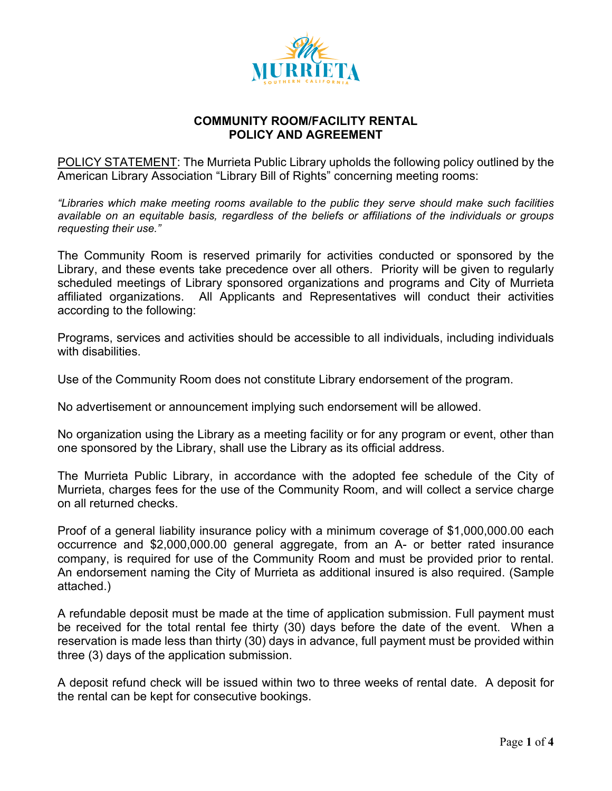

POLICY STATEMENT: The Murrieta Public Library upholds the following policy outlined by the American Library Association "Library Bill of Rights" concerning meeting rooms:

*"Libraries which make meeting rooms available to the public they serve should make such facilities available on an equitable basis, regardless of the beliefs or affiliations of the individuals or groups requesting their use."*

The Community Room is reserved primarily for activities conducted or sponsored by the Library, and these events take precedence over all others. Priority will be given to regularly scheduled meetings of Library sponsored organizations and programs and City of Murrieta affiliated organizations. All Applicants and Representatives will conduct their activities according to the following:

Programs, services and activities should be accessible to all individuals, including individuals with disabilities.

Use of the Community Room does not constitute Library endorsement of the program.

No advertisement or announcement implying such endorsement will be allowed.

No organization using the Library as a meeting facility or for any program or event, other than one sponsored by the Library, shall use the Library as its official address.

The Murrieta Public Library, in accordance with the adopted fee schedule of the City of Murrieta, charges fees for the use of the Community Room, and will collect a service charge on all returned checks.

Proof of a general liability insurance policy with a minimum coverage of \$1,000,000.00 each occurrence and \$2,000,000.00 general aggregate, from an A- or better rated insurance company, is required for use of the Community Room and must be provided prior to rental. An endorsement naming the City of Murrieta as additional insured is also required. (Sample attached.)

A refundable deposit must be made at the time of application submission. Full payment must be received for the total rental fee thirty (30) days before the date of the event. When a reservation is made less than thirty (30) days in advance, full payment must be provided within three (3) days of the application submission.

A deposit refund check will be issued within two to three weeks of rental date. A deposit for the rental can be kept for consecutive bookings.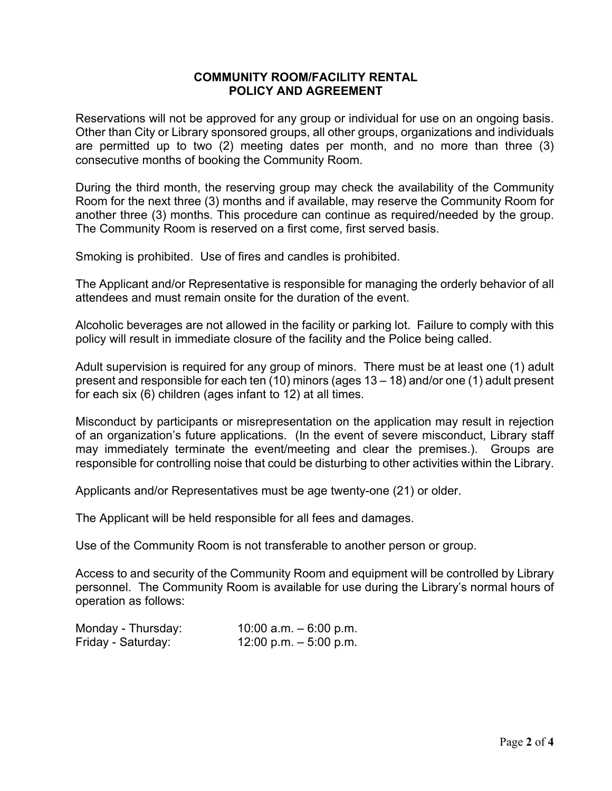Reservations will not be approved for any group or individual for use on an ongoing basis. Other than City or Library sponsored groups, all other groups, organizations and individuals are permitted up to two (2) meeting dates per month, and no more than three (3) consecutive months of booking the Community Room.

 During the third month, the reserving group may check the availability of the Community Room for the next three (3) months and if available, may reserve the Community Room for another three (3) months. This procedure can continue as required/needed by the group. The Community Room is reserved on a first come, first served basis.

Smoking is prohibited. Use of fires and candles is prohibited.

The Applicant and/or Representative is responsible for managing the orderly behavior of all attendees and must remain onsite for the duration of the event.

Alcoholic beverages are not allowed in the facility or parking lot. Failure to comply with this policy will result in immediate closure of the facility and the Police being called.

Adult supervision is required for any group of minors. There must be at least one (1) adult present and responsible for each ten (10) minors (ages 13 – 18) and/or one (1) adult present for each six (6) children (ages infant to 12) at all times.

Misconduct by participants or misrepresentation on the application may result in rejection of an organization's future applications. (In the event of severe misconduct, Library staff may immediately terminate the event/meeting and clear the premises.). Groups are responsible for controlling noise that could be disturbing to other activities within the Library.

Applicants and/or Representatives must be age twenty-one (21) or older.

The Applicant will be held responsible for all fees and damages.

Use of the Community Room is not transferable to another person or group.

Access to and security of the Community Room and equipment will be controlled by Library personnel. The Community Room is available for use during the Library's normal hours of operation as follows:

| Monday - Thursday: | 10:00 a.m. $-6:00$ p.m. |
|--------------------|-------------------------|
| Friday - Saturday: | 12:00 p.m. $-5:00$ p.m. |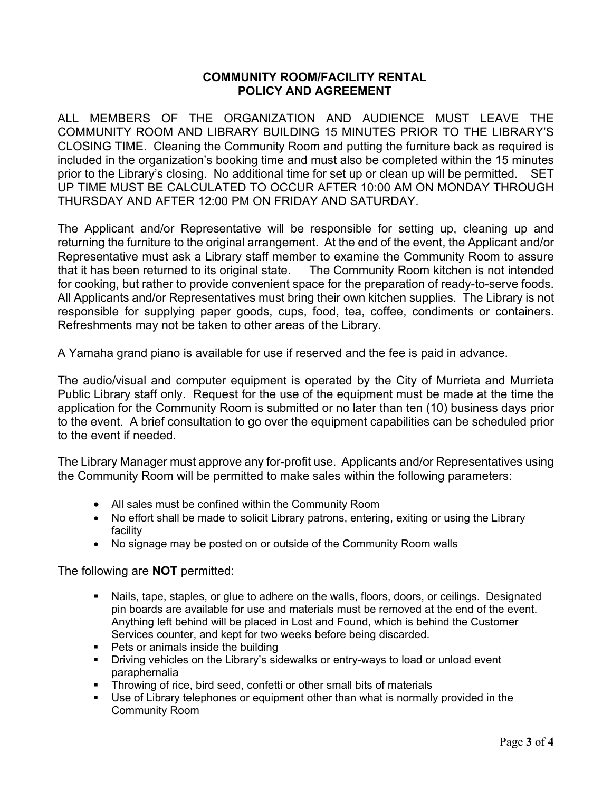ALL MEMBERS OF THE ORGANIZATION AND AUDIENCE MUST LEAVE THE COMMUNITY ROOM AND LIBRARY BUILDING 15 MINUTES PRIOR TO THE LIBRARY'S CLOSING TIME. Cleaning the Community Room and putting the furniture back as required is included in the organization's booking time and must also be completed within the 15 minutes prior to the Library's closing. No additional time for set up or clean up will be permitted. SET UP TIME MUST BE CALCULATED TO OCCUR AFTER 10:00 AM ON MONDAY THROUGH THURSDAY AND AFTER 12:00 PM ON FRIDAY AND SATURDAY.

The Applicant and/or Representative will be responsible for setting up, cleaning up and returning the furniture to the original arrangement. At the end of the event, the Applicant and/or Representative must ask a Library staff member to examine the Community Room to assure that it has been returned to its original state. The Community Room kitchen is not intended for cooking, but rather to provide convenient space for the preparation of ready-to-serve foods. All Applicants and/or Representatives must bring their own kitchen supplies. The Library is not responsible for supplying paper goods, cups, food, tea, coffee, condiments or containers. Refreshments may not be taken to other areas of the Library.

A Yamaha grand piano is available for use if reserved and the fee is paid in advance.

The audio/visual and computer equipment is operated by the City of Murrieta and Murrieta Public Library staff only. Request for the use of the equipment must be made at the time the application for the Community Room is submitted or no later than ten (10) business days prior to the event. A brief consultation to go over the equipment capabilities can be scheduled prior to the event if needed.

The Library Manager must approve any for-profit use. Applicants and/or Representatives using the Community Room will be permitted to make sales within the following parameters:

- All sales must be confined within the Community Room
- No effort shall be made to solicit Library patrons, entering, exiting or using the Library facility
- No signage may be posted on or outside of the Community Room walls

The following are **NOT** permitted:

- Nails, tape, staples, or glue to adhere on the walls, floors, doors, or ceilings. Designated pin boards are available for use and materials must be removed at the end of the event. Anything left behind will be placed in Lost and Found, which is behind the Customer Services counter, and kept for two weeks before being discarded.
- Pets or animals inside the building
- Driving vehicles on the Library's sidewalks or entry-ways to load or unload event paraphernalia
- Throwing of rice, bird seed, confetti or other small bits of materials<br>■ Use of Library telephones or equipment other than what is normally
- Use of Library telephones or equipment other than what is normally provided in the Community Room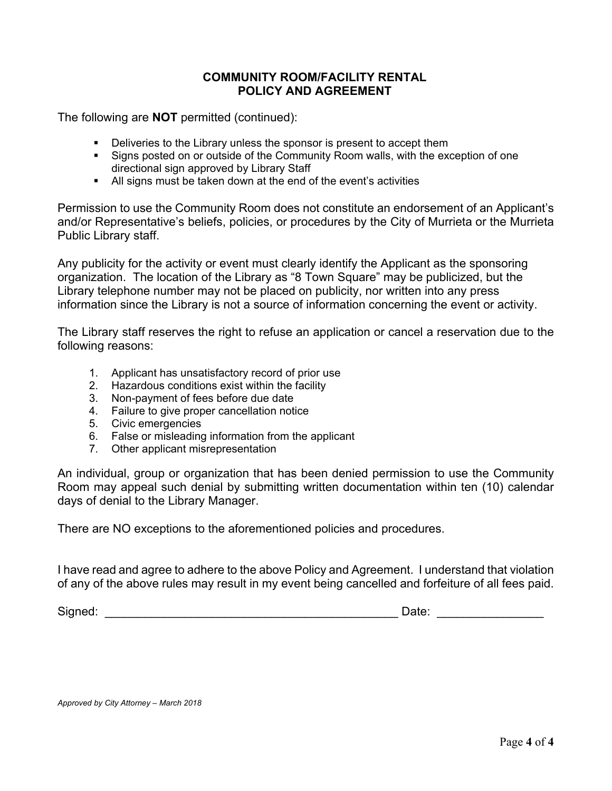The following are **NOT** permitted (continued):

- **•** Deliveries to the Library unless the sponsor is present to accept them
- Signs posted on or outside of the Community Room walls, with the exception of one directional sign approved by Library Staff
- All signs must be taken down at the end of the event's activities

Permission to use the Community Room does not constitute an endorsement of an Applicant's and/or Representative's beliefs, policies, or procedures by the City of Murrieta or the Murrieta Public Library staff.

Any publicity for the activity or event must clearly identify the Applicant as the sponsoring organization. The location of the Library as "8 Town Square" may be publicized, but the Library telephone number may not be placed on publicity, nor written into any press information since the Library is not a source of information concerning the event or activity.

The Library staff reserves the right to refuse an application or cancel a reservation due to the following reasons:

- 1. Applicant has unsatisfactory record of prior use
- 2. Hazardous conditions exist within the facility
- 3. Non-payment of fees before due date
- 4. Failure to give proper cancellation notice
- 5. Civic emergencies
- 6. False or misleading information from the applicant
- 7. Other applicant misrepresentation

An individual, group or organization that has been denied permission to use the Community Room may appeal such denial by submitting written documentation within ten (10) calendar days of denial to the Library Manager.

There are NO exceptions to the aforementioned policies and procedures.

I have read and agree to adhere to the above Policy and Agreement. I understand that violation of any of the above rules may result in my event being cancelled and forfeiture of all fees paid.

Signed: \_\_\_\_\_\_\_\_\_\_\_\_\_\_\_\_\_\_\_\_\_\_\_\_\_\_\_\_\_\_\_\_\_\_\_\_\_\_\_\_\_\_\_\_ Date: \_\_\_\_\_\_\_\_\_\_\_\_\_\_\_\_

*Approved by City Attorney – March 2018*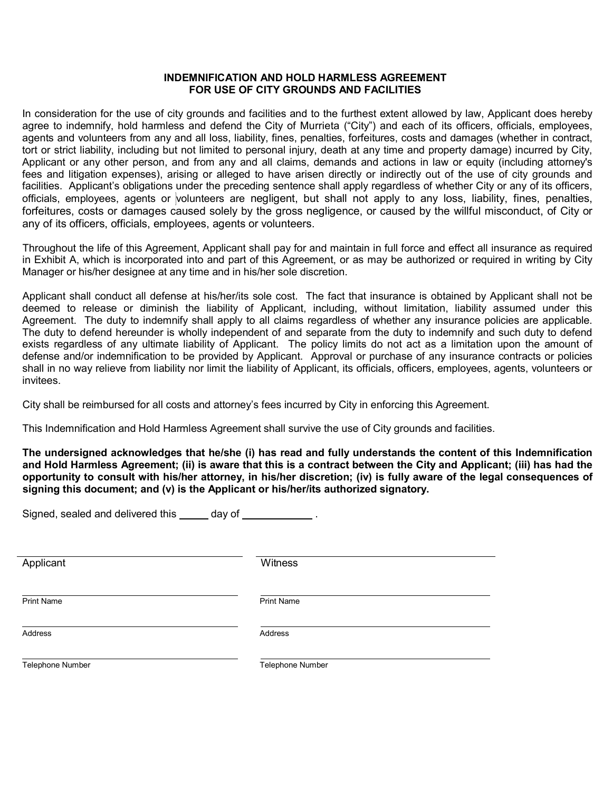#### **INDEMNIFICATION AND HOLD HARMLESS AGREEMENT FOR USE OF CITY GROUNDS AND FACILITIES**

In consideration for the use of city grounds and facilities and to the furthest extent allowed by law, Applicant does hereby agree to indemnify, hold harmless and defend the City of Murrieta ("City") and each of its officers, officials, employees, agents and volunteers from any and all loss, liability, fines, penalties, forfeitures, costs and damages (whether in contract, tort or strict liability, including but not limited to personal injury, death at any time and property damage) incurred by City, Applicant or any other person, and from any and all claims, demands and actions in law or equity (including attorney's fees and litigation expenses), arising or alleged to have arisen directly or indirectly out of the use of city grounds and facilities. Applicant's obligations under the preceding sentence shall apply regardless of whether City or any of its officers, officials, employees, agents or volunteers are negligent, but shall not apply to any loss, liability, fines, penalties, forfeitures, costs or damages caused solely by the gross negligence, or caused by the willful misconduct, of City or any of its officers, officials, employees, agents or volunteers.

Throughout the life of this Agreement, Applicant shall pay for and maintain in full force and effect all insurance as required in Exhibit A, which is incorporated into and part of this Agreement, or as may be authorized or required in writing by City Manager or his/her designee at any time and in his/her sole discretion.

Applicant shall conduct all defense at his/her/its sole cost. The fact that insurance is obtained by Applicant shall not be deemed to release or diminish the liability of Applicant, including, without limitation, liability assumed under this Agreement. The duty to indemnify shall apply to all claims regardless of whether any insurance policies are applicable. The duty to defend hereunder is wholly independent of and separate from the duty to indemnify and such duty to defend exists regardless of any ultimate liability of Applicant. The policy limits do not act as a limitation upon the amount of defense and/or indemnification to be provided by Applicant. Approval or purchase of any insurance contracts or policies shall in no way relieve from liability nor limit the liability of Applicant, its officials, officers, employees, agents, volunteers or invitees.

City shall be reimbursed for all costs and attorney's fees incurred by City in enforcing this Agreement.

This Indemnification and Hold Harmless Agreement shall survive the use of City grounds and facilities.

**The undersigned acknowledges that he/she (i) has read and fully understands the content of this Indemnification and Hold Harmless Agreement; (ii) is aware that this is a contract between the City and Applicant; (iii) has had the**  opportunity to consult with his/her attorney, in his/her discretion; (iv) is fully aware of the legal consequences of **signing this document; and (v) is the Applicant or his/her/its authorized signatory.**

Signed, sealed and delivered this  $\frac{1}{\sqrt{1-\frac{1}{2}}}\cos\left(\frac{1}{2}\right)$  .

| Applicant         | Witness           |
|-------------------|-------------------|
|                   |                   |
|                   |                   |
| <b>Print Name</b> | <b>Print Name</b> |
|                   |                   |
|                   |                   |
| Address           | Address           |
|                   |                   |
|                   |                   |
| Telephone Number  | Telephone Number  |
|                   |                   |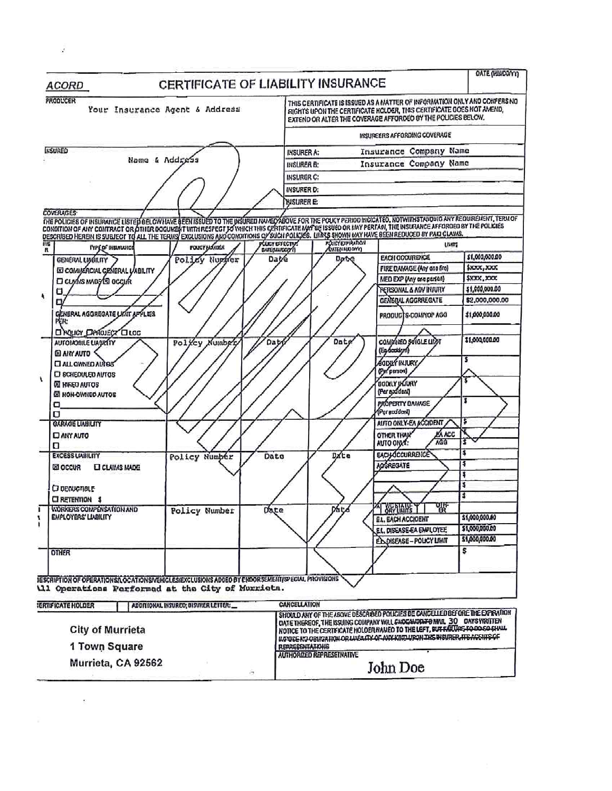| <b>ACORD</b>                                                                                                                                        | <b>OATE (HIMDOWY)</b><br>CERTIFICATE OF LIABILITY INSURANCE                                                                                                                                                                                                                                                                 |  |  |
|-----------------------------------------------------------------------------------------------------------------------------------------------------|-----------------------------------------------------------------------------------------------------------------------------------------------------------------------------------------------------------------------------------------------------------------------------------------------------------------------------|--|--|
| <b>PRODUCER</b><br>Your Insurance Agent & Address                                                                                                   | THIS CERTIFICATE IS ISSUED AS A MATTER OF INFORMATION ONLY AND COMPERS NO<br>RIGHTS UPON THE CERTIFICATE HOLDER, THIS CERTIFICATE DOES NOT AMEND,<br>EXTEND OR ALTER THE COVERAGE AFFORDED BY THE POLICIES BELOW.                                                                                                           |  |  |
|                                                                                                                                                     | INSUREERS AFFORDING COVERAGE                                                                                                                                                                                                                                                                                                |  |  |
| <b>IKSURED</b>                                                                                                                                      | Insurance Company Name<br><b>INSURER A:</b>                                                                                                                                                                                                                                                                                 |  |  |
| Name & Addrass                                                                                                                                      | Insurance Company Name<br><b>INSURER B:</b>                                                                                                                                                                                                                                                                                 |  |  |
|                                                                                                                                                     | <b>INSURER C:</b>                                                                                                                                                                                                                                                                                                           |  |  |
|                                                                                                                                                     | <b>INSURER D:</b>                                                                                                                                                                                                                                                                                                           |  |  |
|                                                                                                                                                     | <b>WISURER E:</b>                                                                                                                                                                                                                                                                                                           |  |  |
| <b>COVERAGES</b>                                                                                                                                    |                                                                                                                                                                                                                                                                                                                             |  |  |
|                                                                                                                                                     | THE POLICIES OF INSURANCE LISTED BELOWHAVE BEEN ISSUED TO THE WSURED NAMED YOUR TOR THE POLICY PERIOD INCOATED. NOTWITHSTANDING ANY REQUIREMENT, TERM OF<br>CONDITION OF ANY CONTRACT OR OTHER DOCUMENT WITH RESPECT TO WHICH THI                                                                                           |  |  |
| illG<br>FOUGY NO ADER                                                                                                                               | <b>POLICY EXPIRATION</b><br><b>PCLICY EFFECTIVE</b><br>LIMTS                                                                                                                                                                                                                                                                |  |  |
| <b>TYPE OF INSURANCE</b><br>R                                                                                                                       | <b><i><u>DATE</u>QUALEDOMY</i></b><br>\$1,000,000.00<br><b>EACH GCOURENCE</b>                                                                                                                                                                                                                                               |  |  |
| Policy Number<br>GENERAL LIABILITY                                                                                                                  | Dat⁄e<br>Date<br>\$1000,0000<br>FIRE DAMAGE (Any and fire)                                                                                                                                                                                                                                                                  |  |  |
| E COMMERCIAL GRNERAL VABILITY<br><b>CI CLYVIS MADS SO OCCUR</b>                                                                                     | \$XXX, XXX<br>MED EXP (Any one person)                                                                                                                                                                                                                                                                                      |  |  |
| 0                                                                                                                                                   | \$1,000,000.00<br>RETISONAL & ADV INJURY                                                                                                                                                                                                                                                                                    |  |  |
| О                                                                                                                                                   | GENERAL AGGRREGATE<br>\$2,000,000.00                                                                                                                                                                                                                                                                                        |  |  |
| <b>CENERAL AGGREGATE LIKIT APPLESS</b><br>陀陀                                                                                                        | \$1,000,000.00<br>PRODUCTS-COMPOP AGG                                                                                                                                                                                                                                                                                       |  |  |
| <b>CI FOLICY CIRKOJECT CILOG</b>                                                                                                                    | \$1,000,000.00                                                                                                                                                                                                                                                                                                              |  |  |
| <b>AUTOMOBILE LIADRITY</b><br>Policy Number                                                                                                         | COMPINED SOIGLE LIZET<br>Dat<br>Dat<br>(Eg-bookkyn)                                                                                                                                                                                                                                                                         |  |  |
| <b>EL AIN AUTO</b><br><b>CI ALL OWNED AUTOB</b><br><b>ED SCHEDULED AUTOS</b>                                                                        | \$<br>AGODILY INJURY.<br>(Per parson)                                                                                                                                                                                                                                                                                       |  |  |
| <b>OI NIKED AUTOS</b><br><b>BI NON-OWNED AUTOS</b>                                                                                                  | <b>BOOKLY UGURY</b><br>(Fer arddent)                                                                                                                                                                                                                                                                                        |  |  |
| о<br>о                                                                                                                                              | PROPERTY DAMAGE<br>(Per accident)                                                                                                                                                                                                                                                                                           |  |  |
| <b>GARAGE LIABILITY</b>                                                                                                                             | AUTO ONLY-EA ACCIDENT                                                                                                                                                                                                                                                                                                       |  |  |
| <b>CJ ANY AUTO</b><br>о                                                                                                                             | <b>EA ACC</b><br><b>OTHER THAN</b><br>AGG<br>3<br>AUTO ONLY:                                                                                                                                                                                                                                                                |  |  |
| <b>EXCESS LIABILITY</b><br>Policy Number                                                                                                            | <b>EACH OCCURRETCE</b><br>Dxte<br>Date                                                                                                                                                                                                                                                                                      |  |  |
| <b>Ed OCCUR</b><br><b>LI CLAIMS MADE</b>                                                                                                            | 4<br><b>ADGREGATE</b><br>3                                                                                                                                                                                                                                                                                                  |  |  |
|                                                                                                                                                     | \$                                                                                                                                                                                                                                                                                                                          |  |  |
| <b>O</b> DENUCTIBLE                                                                                                                                 | \$                                                                                                                                                                                                                                                                                                                          |  |  |
| CI RETENTION \$<br><b>VIORKERS COMPENSATION AND</b><br>Policy Number                                                                                | Date<br>pace<br>$\gamma$ $\gamma$ $\gamma$ $\gamma$<br>፝ቚ                                                                                                                                                                                                                                                                   |  |  |
| <b>EMPLOYERS' LIABILITY</b>                                                                                                                         | \$1,000,000.00<br><b>E.L. EACH ACCIDENT</b>                                                                                                                                                                                                                                                                                 |  |  |
|                                                                                                                                                     | \$1,000,000.00<br>E.I., DISEASE EA EMPLOYEE                                                                                                                                                                                                                                                                                 |  |  |
|                                                                                                                                                     | \$1,000,000.00<br>ED DISEASE - POLICY LIMIT                                                                                                                                                                                                                                                                                 |  |  |
| <b>OTHER</b>                                                                                                                                        | 5                                                                                                                                                                                                                                                                                                                           |  |  |
| JESCRIPTION OF OPERATIONS/LOCATIONS/VEHICLES/EXCLUSIONS ADDED BY ENDORSEMENT/SPECIAL PROVISIONS<br>11 Operations Performed at the City of Murrieta. |                                                                                                                                                                                                                                                                                                                             |  |  |
| <b><i>ERTIFICATE HOLDER</i></b><br>ADDITIONAL INSURED; DISURER LETTER:                                                                              | <b>CANCELLATION</b>                                                                                                                                                                                                                                                                                                         |  |  |
| <b>City of Murrieta</b>                                                                                                                             | SHOULD ANY OF THE ABOVE DESCRIPED POLICIES BE CANCELLED BEFORE THE EXPIRATION<br>DATE THEREOF, THE ISSUING COMPANY WILL ENDEAMPTH FOR MAIL 30 DAYS WRITTEN<br>NOTICE TO THE CERTEICATE HOLDER NAMED TO THE LEFT, BUT FAILURE TO DO SO CHALL<br>ILT DEE NO OBHGATION OR LINBATTY OF ANY KIND UPON THE INSURER, ITE ACENTS OF |  |  |
| 1 Town Square                                                                                                                                       | REPAGEDITATIONS<br><b>AUTHORIZED REPRESETNATIVE</b>                                                                                                                                                                                                                                                                         |  |  |
| Murrieta, CA 92562                                                                                                                                  | John Doe                                                                                                                                                                                                                                                                                                                    |  |  |